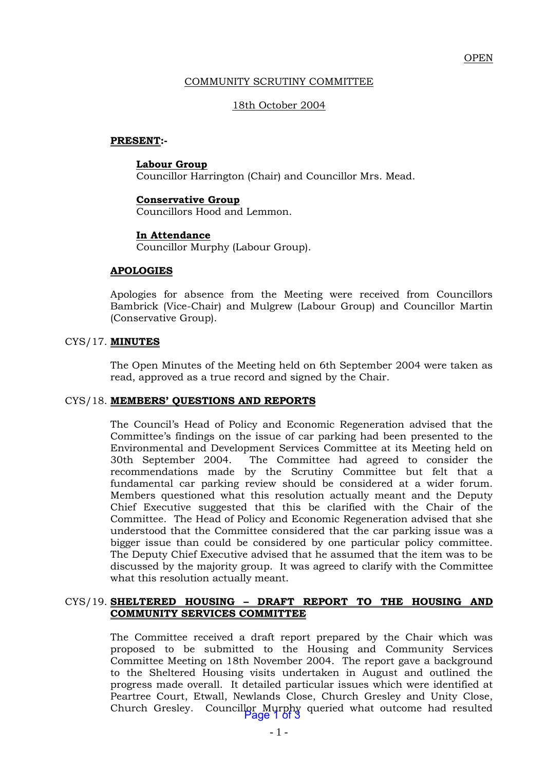## COMMUNITY SCRUTINY COMMITTEE

## 18th October 2004

#### **PRESENT:-**

#### **Labour Group**

Councillor Harrington (Chair) and Councillor Mrs. Mead.

# **Conservative Group**

Councillors Hood and Lemmon.

## **In Attendance**

Councillor Murphy (Labour Group).

## **APOLOGIES**

Apologies for absence from the Meeting were received from Councillors Bambrick (Vice-Chair) and Mulgrew (Labour Group) and Councillor Martin (Conservative Group).

## CYS/17. **MINUTES**

The Open Minutes of the Meeting held on 6th September 2004 were taken as read, approved as a true record and signed by the Chair.

## CYS/18. **MEMBERS' QUESTIONS AND REPORTS**

The Council's Head of Policy and Economic Regeneration advised that the Committee's findings on the issue of car parking had been presented to the Environmental and Development Services Committee at its Meeting held on 30th September 2004. The Committee had agreed to consider the recommendations made by the Scrutiny Committee but felt that a fundamental car parking review should be considered at a wider forum. Members questioned what this resolution actually meant and the Deputy Chief Executive suggested that this be clarified with the Chair of the Committee. The Head of Policy and Economic Regeneration advised that she understood that the Committee considered that the car parking issue was a bigger issue than could be considered by one particular policy committee. The Deputy Chief Executive advised that he assumed that the item was to be discussed by the majority group. It was agreed to clarify with the Committee what this resolution actually meant.

#### CYS/19. **SHELTERED HOUSING – DRAFT REPORT TO THE HOUSING AND COMMUNITY SERVICES COMMITTEE**

The Committee received a draft report prepared by the Chair which was proposed to be submitted to the Housing and Community Services Committee Meeting on 18th November 2004. The report gave a background to the Sheltered Housing visits undertaken in August and outlined the progress made overall. It detailed particular issues which were identified at Peartree Court, Etwall, Newlands Close, Church Gresley and Unity Close, Church Gresley. Councillor Murphy queried what outcome had resulted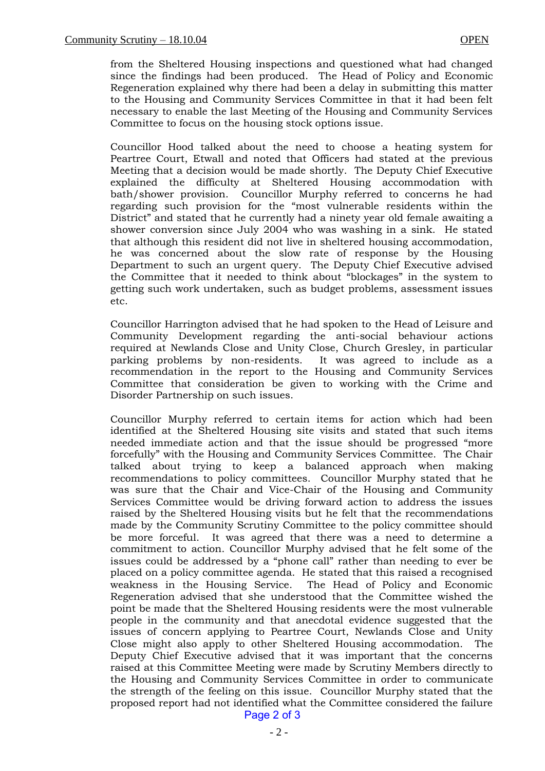from the Sheltered Housing inspections and questioned what had changed since the findings had been produced. The Head of Policy and Economic Regeneration explained why there had been a delay in submitting this matter to the Housing and Community Services Committee in that it had been felt necessary to enable the last Meeting of the Housing and Community Services Committee to focus on the housing stock options issue.

Councillor Hood talked about the need to choose a heating system for Peartree Court, Etwall and noted that Officers had stated at the previous Meeting that a decision would be made shortly. The Deputy Chief Executive explained the difficulty at Sheltered Housing accommodation with bath/shower provision. Councillor Murphy referred to concerns he had regarding such provision for the "most vulnerable residents within the District" and stated that he currently had a ninety year old female awaiting a shower conversion since July 2004 who was washing in a sink. He stated that although this resident did not live in sheltered housing accommodation, he was concerned about the slow rate of response by the Housing Department to such an urgent query. The Deputy Chief Executive advised the Committee that it needed to think about "blockages" in the system to getting such work undertaken, such as budget problems, assessment issues etc.

Councillor Harrington advised that he had spoken to the Head of Leisure and Community Development regarding the anti-social behaviour actions required at Newlands Close and Unity Close, Church Gresley, in particular parking problems by non-residents. It was agreed to include as a recommendation in the report to the Housing and Community Services Committee that consideration be given to working with the Crime and Disorder Partnership on such issues.

Councillor Murphy referred to certain items for action which had been identified at the Sheltered Housing site visits and stated that such items needed immediate action and that the issue should be progressed "more forcefully" with the Housing and Community Services Committee. The Chair talked about trying to keep a balanced approach when making recommendations to policy committees. Councillor Murphy stated that he was sure that the Chair and Vice-Chair of the Housing and Community Services Committee would be driving forward action to address the issues raised by the Sheltered Housing visits but he felt that the recommendations made by the Community Scrutiny Committee to the policy committee should be more forceful. It was agreed that there was a need to determine a commitment to action. Councillor Murphy advised that he felt some of the issues could be addressed by a "phone call" rather than needing to ever be placed on a policy committee agenda. He stated that this raised a recognised weakness in the Housing Service. The Head of Policy and Economic Regeneration advised that she understood that the Committee wished the point be made that the Sheltered Housing residents were the most vulnerable people in the community and that anecdotal evidence suggested that the issues of concern applying to Peartree Court, Newlands Close and Unity Close might also apply to other Sheltered Housing accommodation. The Deputy Chief Executive advised that it was important that the concerns raised at this Committee Meeting were made by Scrutiny Members directly to the Housing and Community Services Committee in order to communicate the strength of the feeling on this issue. Councillor Murphy stated that the proposed report had not identified what the Committee considered the failure